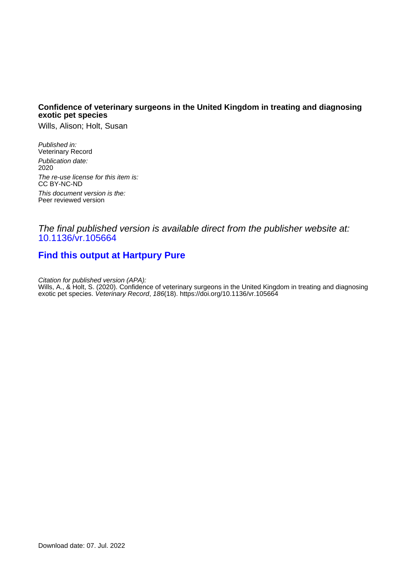#### **Confidence of veterinary surgeons in the United Kingdom in treating and diagnosing exotic pet species**

Wills, Alison; Holt, Susan

Published in: Veterinary Record Publication date: 2020 The re-use license for this item is: CC BY-NC-ND This document version is the: Peer reviewed version

#### The final published version is available direct from the publisher website at: [10.1136/vr.105664](https://doi.org/10.1136/vr.105664)

# **[Find this output at Hartpury Pure](https://hartpury.pure.elsevier.com/en/publications/100d2e2c-2671-4ee0-918b-0d7a358838d8)**

Citation for published version (APA):

Wills, A., & Holt, S. (2020). Confidence of veterinary surgeons in the United Kingdom in treating and diagnosing exotic pet species. Veterinary Record, 186(18).<https://doi.org/10.1136/vr.105664>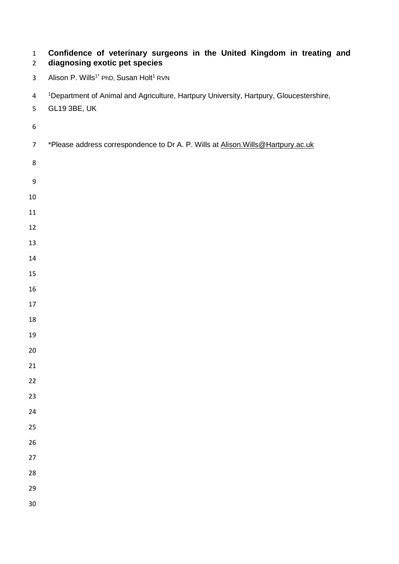| $\mathbf{1}$<br>$\overline{2}$ | Confidence of veterinary surgeons in the United Kingdom in treating and<br>diagnosing exotic pet species                  |
|--------------------------------|---------------------------------------------------------------------------------------------------------------------------|
| 3                              | Alison P. Wills <sup>1*</sup> PhD, Susan Holt <sup>1</sup> RVN                                                            |
| 4<br>5                         | <sup>1</sup> Department of Animal and Agriculture, Hartpury University, Hartpury, Gloucestershire,<br><b>GL19 3BE, UK</b> |
| 6                              |                                                                                                                           |
| $\overline{7}$                 | *Please address correspondence to Dr A. P. Wills at Alison. Wills@Hartpury.ac.uk                                          |
| 8                              |                                                                                                                           |
| 9                              |                                                                                                                           |
| 10                             |                                                                                                                           |
| 11                             |                                                                                                                           |
| 12                             |                                                                                                                           |
| 13                             |                                                                                                                           |
| 14                             |                                                                                                                           |
| 15                             |                                                                                                                           |
| 16                             |                                                                                                                           |
| 17                             |                                                                                                                           |
| 18                             |                                                                                                                           |
| 19                             |                                                                                                                           |
| 20                             |                                                                                                                           |
| 21                             |                                                                                                                           |
| 22                             |                                                                                                                           |
| 23                             |                                                                                                                           |
| 24                             |                                                                                                                           |
| 25                             |                                                                                                                           |
| 26                             |                                                                                                                           |
| 27                             |                                                                                                                           |
| 28                             |                                                                                                                           |
| 29                             |                                                                                                                           |
| 30                             |                                                                                                                           |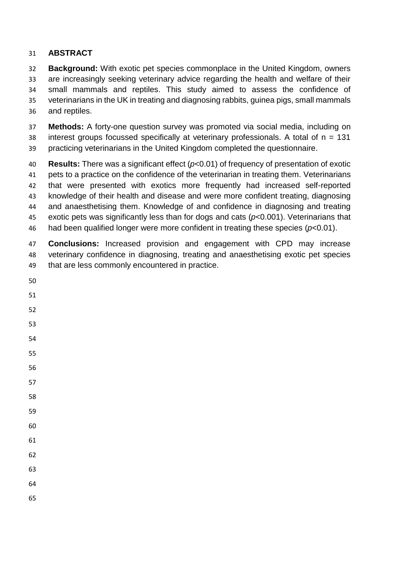## **ABSTRACT**

 **Background:** With exotic pet species commonplace in the United Kingdom, owners are increasingly seeking veterinary advice regarding the health and welfare of their small mammals and reptiles. This study aimed to assess the confidence of veterinarians in the UK in treating and diagnosing rabbits, guinea pigs, small mammals and reptiles.

 **Methods:** A forty-one question survey was promoted via social media, including on interest groups focussed specifically at veterinary professionals. A total of n = 131 practicing veterinarians in the United Kingdom completed the questionnaire.

 **Results:** There was a significant effect (*p*<0.01) of frequency of presentation of exotic pets to a practice on the confidence of the veterinarian in treating them. Veterinarians that were presented with exotics more frequently had increased self-reported knowledge of their health and disease and were more confident treating, diagnosing and anaesthetising them. Knowledge of and confidence in diagnosing and treating exotic pets was significantly less than for dogs and cats (*p*<0.001). Veterinarians that had been qualified longer were more confident in treating these species (*p*<0.01).

 **Conclusions:** Increased provision and engagement with CPD may increase veterinary confidence in diagnosing, treating and anaesthetising exotic pet species that are less commonly encountered in practice.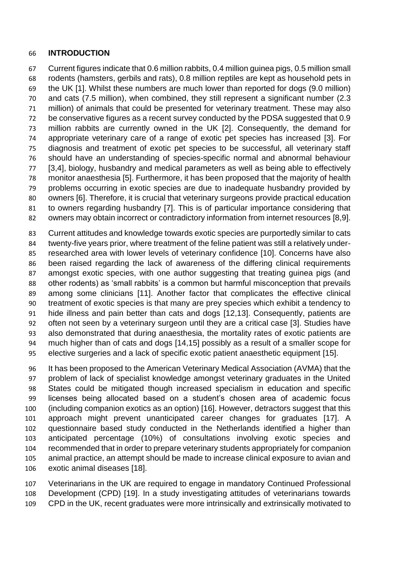#### **INTRODUCTION**

 Current figures indicate that 0.6 million rabbits, 0.4 million guinea pigs, 0.5 million small rodents (hamsters, gerbils and rats), 0.8 million reptiles are kept as household pets in the UK [1]. Whilst these numbers are much lower than reported for dogs (9.0 million) and cats (7.5 million), when combined, they still represent a significant number (2.3 million) of animals that could be presented for veterinary treatment. These may also be conservative figures as a recent survey conducted by the PDSA suggested that 0.9 million rabbits are currently owned in the UK [2]. Consequently, the demand for appropriate veterinary care of a range of exotic pet species has increased [3]. For diagnosis and treatment of exotic pet species to be successful, all veterinary staff should have an understanding of species-specific normal and abnormal behaviour [3,4], biology, husbandry and medical parameters as well as being able to effectively monitor anaesthesia [5]. Furthermore, it has been proposed that the majority of health problems occurring in exotic species are due to inadequate husbandry provided by owners [6]. Therefore, it is crucial that veterinary surgeons provide practical education to owners regarding husbandry [7]. This is of particular importance considering that owners may obtain incorrect or contradictory information from internet resources [8,9].

 Current attitudes and knowledge towards exotic species are purportedly similar to cats twenty-five years prior, where treatment of the feline patient was still a relatively under- researched area with lower levels of veterinary confidence [10]. Concerns have also been raised regarding the lack of awareness of the differing clinical requirements amongst exotic species, with one author suggesting that treating guinea pigs (and other rodents) as 'small rabbits' is a common but harmful misconception that prevails among some clinicians [11]. Another factor that complicates the effective clinical treatment of exotic species is that many are prey species which exhibit a tendency to hide illness and pain better than cats and dogs [12,13]. Consequently, patients are often not seen by a veterinary surgeon until they are a critical case [3]. Studies have also demonstrated that during anaesthesia, the mortality rates of exotic patients are much higher than of cats and dogs [14,15] possibly as a result of a smaller scope for elective surgeries and a lack of specific exotic patient anaesthetic equipment [15].

 It has been proposed to the American Veterinary Medical Association (AVMA) that the problem of lack of specialist knowledge amongst veterinary graduates in the United States could be mitigated though increased specialism in education and specific licenses being allocated based on a student's chosen area of academic focus (including companion exotics as an option) [16]. However, detractors suggest that this approach might prevent unanticipated career changes for graduates [17]. A questionnaire based study conducted in the Netherlands identified a higher than anticipated percentage (10%) of consultations involving exotic species and recommended that in order to prepare veterinary students appropriately for companion animal practice, an attempt should be made to increase clinical exposure to avian and exotic animal diseases [18].

 Veterinarians in the UK are required to engage in mandatory Continued Professional Development (CPD) [19]. In a study investigating attitudes of veterinarians towards CPD in the UK, recent graduates were more intrinsically and extrinsically motivated to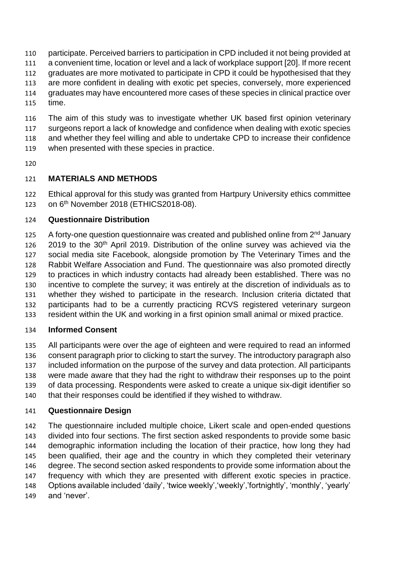participate. Perceived barriers to participation in CPD included it not being provided at a convenient time, location or level and a lack of workplace support [20]. If more recent graduates are more motivated to participate in CPD it could be hypothesised that they are more confident in dealing with exotic pet species, conversely, more experienced graduates may have encountered more cases of these species in clinical practice over time.

 The aim of this study was to investigate whether UK based first opinion veterinary surgeons report a lack of knowledge and confidence when dealing with exotic species

and whether they feel willing and able to undertake CPD to increase their confidence

- when presented with these species in practice.
- 

### **MATERIALS AND METHODS**

 Ethical approval for this study was granted from Hartpury University ethics committee 123 on 6<sup>th</sup> November 2018 (ETHICS2018-08).

### **Questionnaire Distribution**

125 A forty-one question questionnaire was created and published online from 2<sup>nd</sup> January 2019 to the 30<sup>th</sup> April 2019. Distribution of the online survey was achieved via the social media site Facebook, alongside promotion by The Veterinary Times and the Rabbit Welfare Association and Fund. The questionnaire was also promoted directly to practices in which industry contacts had already been established. There was no incentive to complete the survey; it was entirely at the discretion of individuals as to whether they wished to participate in the research. Inclusion criteria dictated that participants had to be a currently practicing RCVS registered veterinary surgeon resident within the UK and working in a first opinion small animal or mixed practice.

### **Informed Consent**

 All participants were over the age of eighteen and were required to read an informed consent paragraph prior to clicking to start the survey. The introductory paragraph also included information on the purpose of the survey and data protection. All participants were made aware that they had the right to withdraw their responses up to the point of data processing. Respondents were asked to create a unique six-digit identifier so that their responses could be identified if they wished to withdraw.

### **Questionnaire Design**

 The questionnaire included multiple choice, Likert scale and open-ended questions divided into four sections. The first section asked respondents to provide some basic demographic information including the location of their practice, how long they had been qualified, their age and the country in which they completed their veterinary degree. The second section asked respondents to provide some information about the frequency with which they are presented with different exotic species in practice. Options available included 'daily', 'twice weekly','weekly','fortnightly', 'monthly', 'yearly' and 'never'.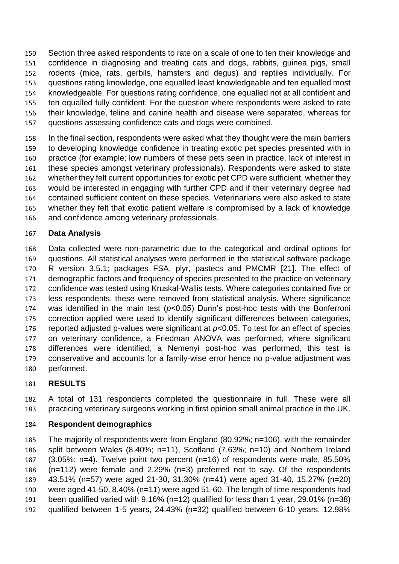Section three asked respondents to rate on a scale of one to ten their knowledge and confidence in diagnosing and treating cats and dogs, rabbits, guinea pigs, small rodents (mice, rats, gerbils, hamsters and degus) and reptiles individually. For questions rating knowledge, one equalled least knowledgeable and ten equalled most knowledgeable. For questions rating confidence, one equalled not at all confident and ten equalled fully confident. For the question where respondents were asked to rate their knowledge, feline and canine health and disease were separated, whereas for questions assessing confidence cats and dogs were combined.

 In the final section, respondents were asked what they thought were the main barriers to developing knowledge confidence in treating exotic pet species presented with in practice (for example; low numbers of these pets seen in practice, lack of interest in these species amongst veterinary professionals). Respondents were asked to state whether they felt current opportunities for exotic pet CPD were sufficient, whether they would be interested in engaging with further CPD and if their veterinary degree had contained sufficient content on these species. Veterinarians were also asked to state whether they felt that exotic patient welfare is compromised by a lack of knowledge and confidence among veterinary professionals.

### **Data Analysis**

 Data collected were non-parametric due to the categorical and ordinal options for questions. All statistical analyses were performed in the statistical software package R version 3.5.1; packages FSA, plyr, pastecs and PMCMR [21]. The effect of demographic factors and frequency of species presented to the practice on veterinary confidence was tested using Kruskal-Wallis tests. Where categories contained five or less respondents, these were removed from statistical analysis. Where significance was identified in the main test (*p*<0.05) Dunn's post-hoc tests with the Bonferroni correction applied were used to identify significant differences between categories, reported adjusted p-values were significant at *p*<0.05. To test for an effect of species on veterinary confidence, a Friedman ANOVA was performed, where significant differences were identified, a Nemenyi post-hoc was performed, this test is conservative and accounts for a family-wise error hence no p-value adjustment was performed.

# **RESULTS**

 A total of 131 respondents completed the questionnaire in full. These were all practicing veterinary surgeons working in first opinion small animal practice in the UK.

### **Respondent demographics**

 The majority of respondents were from England (80.92%; n=106), with the remainder split between Wales (8.40%; n=11), Scotland (7.63%; n=10) and Northern Ireland (3.05%; n=4). Twelve point two percent (n=16) of respondents were male, 85.50% (n=112) were female and 2.29% (n=3) preferred not to say. Of the respondents 43.51% (n=57) were aged 21-30, 31.30% (n=41) were aged 31-40, 15.27% (n=20) were aged 41-50, 8.40% (n=11) were aged 51-60. The length of time respondents had been qualified varied with 9.16% (n=12) qualified for less than 1 year, 29.01% (n=38) qualified between 1-5 years, 24.43% (n=32) qualified between 6-10 years, 12.98%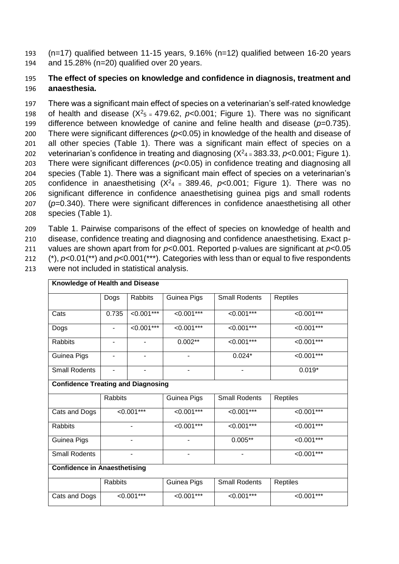193 (n=17) qualified between 11-15 years, 9.16% (n=12) qualified between 16-20 years 194 and 15.28% (n=20) qualified over 20 years.

## 195 **The effect of species on knowledge and confidence in diagnosis, treatment and**  196 **anaesthesia.**

 There was a significant main effect of species on a veterinarian's self-rated knowledge 198 of health and disease  $(X^2<sub>5</sub> = 479.62, p<0.001$ ; Figure 1). There was no significant difference between knowledge of canine and feline health and disease (*p*=0.735). There were significant differences (*p*<0.05) in knowledge of the health and disease of all other species (Table 1). There was a significant main effect of species on a veterinarian's confidence in treating and diagnosing  $(X<sup>2</sup>4 = 383.33, p< 0.001$ ; Figure 1). There were significant differences (*p*<0.05) in confidence treating and diagnosing all species (Table 1). There was a significant main effect of species on a veterinarian's confidence in anaesthetising  $(X<sup>2</sup>4 = 389.46, p<0.001$ ; Figure 1). There was no significant difference in confidence anaesthetising guinea pigs and small rodents (*p*=0.340). There were significant differences in confidence anaesthetising all other species (Table 1).

 Table 1. Pairwise comparisons of the effect of species on knowledge of health and disease, confidence treating and diagnosing and confidence anaesthetising. Exact p- values are shown apart from for *p*<0.001. Reported p-values are significant at *p*<0.05 (\*), *p*<0.01(\*\*) and *p*<0.001(\*\*\*). Categories with less than or equal to five respondents

| Knowledge of Health and Disease           |                                  |              |                       |                       |               |              |              |
|-------------------------------------------|----------------------------------|--------------|-----------------------|-----------------------|---------------|--------------|--------------|
|                                           | Dogs                             | Rabbits      | Guinea Pigs           | <b>Small Rodents</b>  | Reptiles      |              |              |
| Cats                                      | $< 0.001***$<br>0.735            |              | $\overline{0.001***}$ | $< 0.001***$          | $< 0.001***$  |              |              |
| Dogs                                      | $< 0.001***$<br>۰                |              | $< 0.001***$          | $\overline{0.001***}$ | $< 0.001***$  |              |              |
| Rabbits                                   | $\blacksquare$<br>$\blacksquare$ |              | $0.002***$            | $< 0.001***$          | $< 0.001$ *** |              |              |
| Guinea Pigs                               |                                  |              |                       | $0.024*$              | $< 0.001***$  |              |              |
| <b>Small Rodents</b>                      | $\overline{\phantom{0}}$<br>-    |              |                       |                       | $0.019*$      |              |              |
| <b>Confidence Treating and Diagnosing</b> |                                  |              |                       |                       |               |              |              |
|                                           | Rabbits                          |              | Guinea Pigs           | <b>Small Rodents</b>  | Reptiles      |              |              |
| Cats and Dogs                             |                                  | $< 0.001***$ | $< 0.001***$          | $< 0.001***$          | $< 0.001***$  |              |              |
| Rabbits                                   |                                  | ۰            | $< 0.001***$          | $< 0.001***$          | $< 0.001***$  |              |              |
| Guinea Pigs                               |                                  |              |                       | $0.005**$             | $< 0.001***$  |              |              |
| <b>Small Rodents</b>                      |                                  |              | ٠<br>-                |                       | $< 0.001***$  |              |              |
| <b>Confidence in Anaesthetising</b>       |                                  |              |                       |                       |               |              |              |
|                                           | <b>Rabbits</b>                   |              | Guinea Pigs           | <b>Small Rodents</b>  | Reptiles      |              |              |
| Cats and Dogs                             | $< 0.001***$                     |              |                       |                       | $< 0.001***$  | $< 0.001***$ | $< 0.001***$ |

213 were not included in statistical analysis.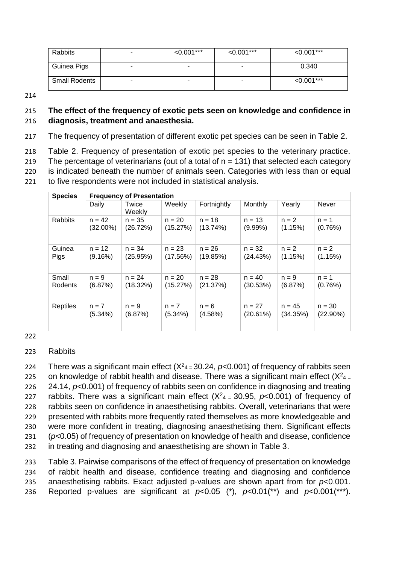| Rabbits              |   | $< 0.001$ *** | $< 0.001$ *** | $< 0.001***$ |
|----------------------|---|---------------|---------------|--------------|
| Guinea Pigs          | - | -             |               | 0.340        |
| <b>Small Rodents</b> | - | -             |               | $< 0.001***$ |

214

### 215 **The effect of the frequency of exotic pets seen on knowledge and confidence in**  216 **diagnosis, treatment and anaesthesia.**

217 The frequency of presentation of different exotic pet species can be seen in Table 2.

 Table 2. Frequency of presentation of exotic pet species to the veterinary practice. 219 The percentage of veterinarians (out of a total of  $n = 131$ ) that selected each category is indicated beneath the number of animals seen. Categories with less than or equal to five respondents were not included in statistical analysis.

| <b>Species</b>  | <b>Frequency of Presentation</b> |                 |          |             |            |          |             |  |  |
|-----------------|----------------------------------|-----------------|----------|-------------|------------|----------|-------------|--|--|
|                 | Daily                            | Twice<br>Weekly | Weekly   | Fortnightly | Monthly    | Yearly   | Never       |  |  |
| <b>Rabbits</b>  | $n = 42$                         | $n = 35$        | $n = 20$ | $n = 18$    | $n = 13$   | $n = 2$  | $n = 1$     |  |  |
|                 | $(32.00\%)$                      | (26.72%)        | (15.27%) | (13.74%)    | $(9.99\%)$ | (1.15%)  | (0.76%)     |  |  |
| Guinea          | $n = 12$                         | $n = 34$        | $n = 23$ | $n = 26$    | $n = 32$   | $n = 2$  | $n = 2$     |  |  |
| Pigs            | (9.16%)                          | (25.95%)        | (17.56%) | (19.85%)    | (24.43%)   | (1.15%)  | (1.15%)     |  |  |
| Small           | $n = 9$                          | $n = 24$        | $n = 20$ | $n = 28$    | $n = 40$   | $n = 9$  | $n = 1$     |  |  |
| Rodents         | (6.87%)                          | (18.32%)        | (15.27%) | (21.37%)    | (30.53%)   | (6.87%)  | (0.76%)     |  |  |
| <b>Reptiles</b> | $n = 7$                          | $n = 9$         | $n = 7$  | $n = 6$     | $n = 27$   | $n = 45$ | $n = 30$    |  |  |
|                 | (5.34%)                          | (6.87%)         | (5.34%)  | (4.58%)     | (20.61%)   | (34.35%) | $(22.90\%)$ |  |  |

#### 222

### 223 Rabbits

224 There was a significant main effect  $(X<sup>2</sup>4 = 30.24, p<0.001)$  of frequency of rabbits seen 225 on knowledge of rabbit health and disease. There was a significant main effect  $(X^2_{4} =$  24.14, *p*<0.001) of frequency of rabbits seen on confidence in diagnosing and treating 227 rabbits. There was a significant main effect  $(X<sup>2</sup>4 = 30.95, p<0.001)$  of frequency of rabbits seen on confidence in anaesthetising rabbits. Overall, veterinarians that were presented with rabbits more frequently rated themselves as more knowledgeable and were more confident in treating, diagnosing anaesthetising them. Significant effects (*p*<0.05) of frequency of presentation on knowledge of health and disease, confidence in treating and diagnosing and anaesthetising are shown in Table 3.

 Table 3. Pairwise comparisons of the effect of frequency of presentation on knowledge of rabbit health and disease, confidence treating and diagnosing and confidence anaesthetising rabbits. Exact adjusted p-values are shown apart from for *p*<0.001. 236 Reported p-values are significant at  $p<0.05$  (\*),  $p<0.01$ (\*\*) and  $p<0.001$ (\*\*\*).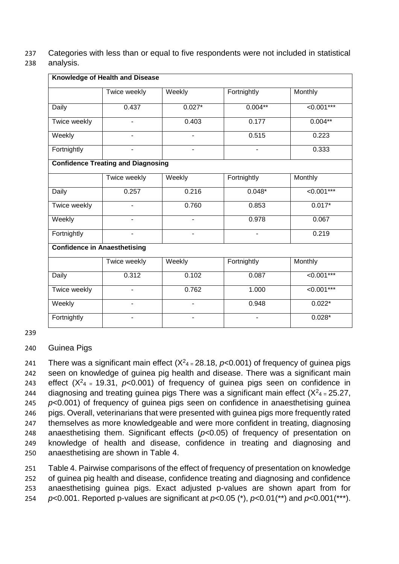237 Categories with less than or equal to five respondents were not included in statistical

### 238 analysis.

|                                     | Knowledge of Health and Disease           |                          |                          |                 |  |  |
|-------------------------------------|-------------------------------------------|--------------------------|--------------------------|-----------------|--|--|
|                                     | Twice weekly                              | Weekly                   | Fortnightly              | Monthly         |  |  |
| <b>Daily</b>                        | 0.437                                     | $0.027*$                 | $0.004**$                | $< 0.001***$    |  |  |
| Twice weekly                        | $\overline{\phantom{a}}$                  | 0.403                    | 0.177                    | $0.004**$       |  |  |
| Weekly                              | $\overline{\phantom{a}}$                  | $\overline{\phantom{a}}$ | 0.515                    | 0.223           |  |  |
| Fortnightly                         | $\overline{\phantom{a}}$                  | $\blacksquare$           | $\blacksquare$           | 0.333           |  |  |
|                                     | <b>Confidence Treating and Diagnosing</b> |                          |                          |                 |  |  |
|                                     | Twice weekly                              | Weekly                   | Fortnightly              | Monthly         |  |  |
| Daily                               | 0.257                                     | 0.216                    | $0.048*$                 | $<0.001***$     |  |  |
| Twice weekly                        |                                           | 0.760                    | 0.853                    | $0.017*$        |  |  |
| Weekly                              |                                           |                          | 0.978                    | 0.067           |  |  |
| Fortnightly                         |                                           |                          |                          | 0.219           |  |  |
| <b>Confidence in Anaesthetising</b> |                                           |                          |                          |                 |  |  |
|                                     | Twice weekly                              | Weekly                   | Fortnightly              | Monthly         |  |  |
| Daily                               | 0.312                                     | 0.102                    | 0.087                    | $< 0.001***$    |  |  |
| Twice weekly                        | $\overline{\phantom{a}}$                  | 0.762                    | 1.000                    | $\leq 0.001***$ |  |  |
| Weekly                              | ÷.                                        | $\overline{a}$           | 0.948                    | $0.022*$        |  |  |
| Fortnightly                         | ۰                                         |                          | $\overline{\phantom{a}}$ | $0.028*$        |  |  |

239

240 Guinea Pigs

241 There was a significant main effect  $(X<sup>2</sup>_{4} = 28.18, p<0.001)$  of frequency of guinea pigs seen on knowledge of guinea pig health and disease. There was a significant main 243 effect  $(X^2_{4} = 19.31, p<0.001)$  of frequency of guinea pigs seen on confidence in 244 diagnosing and treating guinea pigs There was a significant main effect  $(X^2_{4} = 25.27)$ , *p*<0.001) of frequency of guinea pigs seen on confidence in anaesthetising guinea pigs. Overall, veterinarians that were presented with guinea pigs more frequently rated themselves as more knowledgeable and were more confident in treating, diagnosing anaesthetising them. Significant effects (*p*<0.05) of frequency of presentation on knowledge of health and disease, confidence in treating and diagnosing and anaesthetising are shown in Table 4.

 Table 4. Pairwise comparisons of the effect of frequency of presentation on knowledge of guinea pig health and disease, confidence treating and diagnosing and confidence anaesthetising guinea pigs. Exact adjusted p-values are shown apart from for *p*<0.001. Reported p-values are significant at *p*<0.05 (\*), *p*<0.01(\*\*) and *p*<0.001(\*\*\*).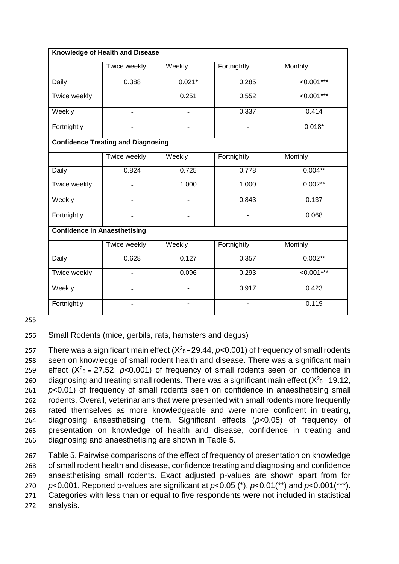|                                     | Knowledge of Health and Disease           |                                      |             |                       |  |  |  |
|-------------------------------------|-------------------------------------------|--------------------------------------|-------------|-----------------------|--|--|--|
|                                     | Twice weekly                              | Weekly                               | Fortnightly | Monthly               |  |  |  |
| Daily                               | 0.388                                     | $0.021*$                             | 0.285       | $\overline{0.001***}$ |  |  |  |
| Twice weekly                        |                                           | 0.251                                | 0.552       | $\overline{0.001***}$ |  |  |  |
| Weekly                              | $\overline{\phantom{a}}$                  | $\overline{\phantom{a}}$             | 0.337       | 0.414                 |  |  |  |
| Fortnightly                         | $\overline{\phantom{a}}$                  | $0.018*$<br>$\overline{\phantom{a}}$ |             |                       |  |  |  |
|                                     | <b>Confidence Treating and Diagnosing</b> |                                      |             |                       |  |  |  |
|                                     | Twice weekly                              | Weekly                               | Fortnightly | Monthly               |  |  |  |
| Daily                               | 0.824                                     | 0.725                                | 0.778       | $0.004***$            |  |  |  |
| Twice weekly                        |                                           | 1.000                                | 1.000       | $0.002**$             |  |  |  |
| Weekly                              |                                           |                                      | 0.843       | 0.137                 |  |  |  |
| Fortnightly                         | $\overline{\phantom{a}}$                  | $\overline{\phantom{a}}$             |             | 0.068                 |  |  |  |
| <b>Confidence in Anaesthetising</b> |                                           |                                      |             |                       |  |  |  |
|                                     | Twice weekly                              | Weekly                               | Fortnightly | Monthly               |  |  |  |
| Daily                               | 0.628                                     | 0.127                                | 0.357       | $0.002***$            |  |  |  |
| Twice weekly                        |                                           | 0.096                                | 0.293       | $\overline{0.001***}$ |  |  |  |
| Weekly                              | $\overline{\phantom{a}}$                  | $\blacksquare$                       | 0.917       | 0.423                 |  |  |  |
| Fortnightly                         |                                           | ä,                                   |             | 0.119                 |  |  |  |

255

256 Small Rodents (mice, gerbils, rats, hamsters and degus)

257 There was a significant main effect  $(X^2 5 = 29.44, p < 0.001)$  of frequency of small rodents seen on knowledge of small rodent health and disease. There was a significant main 259 effect  $(X^2_{5} = 27.52, p<0.001)$  of frequency of small rodents seen on confidence in 260 diagnosing and treating small rodents. There was a significant main effect  $(X^2_{5} = 19.12)$ , *p*<0.01) of frequency of small rodents seen on confidence in anaesthetising small rodents. Overall, veterinarians that were presented with small rodents more frequently rated themselves as more knowledgeable and were more confident in treating, diagnosing anaesthetising them. Significant effects (*p*<0.05) of frequency of presentation on knowledge of health and disease, confidence in treating and diagnosing and anaesthetising are shown in Table 5.

 Table 5. Pairwise comparisons of the effect of frequency of presentation on knowledge of small rodent health and disease, confidence treating and diagnosing and confidence anaesthetising small rodents. Exact adjusted p-values are shown apart from for *p*<0.001. Reported p-values are significant at *p*<0.05 (\*), *p*<0.01(\*\*) and *p*<0.001(\*\*\*). Categories with less than or equal to five respondents were not included in statistical 272 analysis.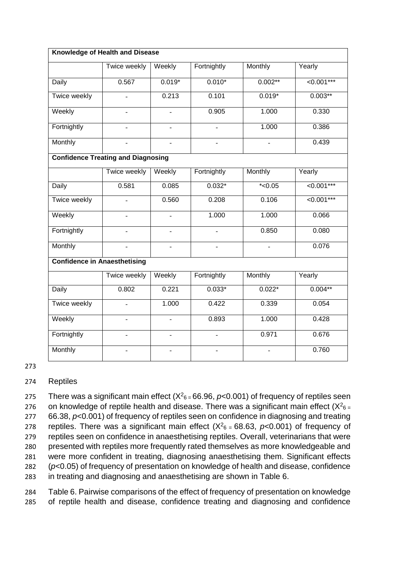| Knowledge of Health and Disease |                                           |                          |                          |                |                       |  |
|---------------------------------|-------------------------------------------|--------------------------|--------------------------|----------------|-----------------------|--|
|                                 | Twice weekly                              | Weekly                   | Fortnightly              | Monthly        | Yearly                |  |
| Daily                           | 0.567                                     | $0.019*$                 | $0.010*$                 | $0.002**$      | $\overline{0.001***}$ |  |
| Twice weekly                    |                                           | 0.213                    | 0.101                    | $0.019*$       | $0.003**$             |  |
| Weekly                          | $\overline{a}$                            | $\overline{a}$           | 0.905                    | 1.000          | 0.330                 |  |
| Fortnightly                     |                                           | $\blacksquare$           |                          | 1.000          | 0.386                 |  |
| Monthly                         |                                           |                          |                          |                | 0.439                 |  |
|                                 | <b>Confidence Treating and Diagnosing</b> |                          |                          |                |                       |  |
|                                 | Twice weekly                              | Weekly                   | Fortnightly              | Monthly        | Yearly                |  |
| Daily                           | 0.581                                     | 0.085                    | $0.032*$                 | $*$ <0.05      | $\overline{0.001***}$ |  |
| Twice weekly                    |                                           | 0.560                    | 0.208                    | 0.106          | $\overline{0.001***}$ |  |
| Weekly                          |                                           | $\overline{\phantom{a}}$ | 1.000                    | 1.000          | 0.066                 |  |
| Fortnightly                     |                                           | $\overline{\phantom{a}}$ | $\overline{\phantom{a}}$ | 0.850          | 0.080                 |  |
| Monthly                         |                                           |                          |                          | $\overline{a}$ | 0.076                 |  |
|                                 | <b>Confidence in Anaesthetising</b>       |                          |                          |                |                       |  |
|                                 | <b>Twice weekly</b>                       | Weekly                   | Fortnightly              | Monthly        | Yearly                |  |
| Daily                           | 0.802                                     | 0.221                    | $0.033*$                 | $0.022*$       | $0.004**$             |  |
| Twice weekly                    |                                           | 1.000                    | 0.422                    | 0.339          | 0.054                 |  |
| Weekly                          |                                           |                          | 0.893                    | 1.000          | 0.428                 |  |
| Fortnightly                     |                                           |                          |                          | 0.971          | 0.676                 |  |
| Monthly                         |                                           |                          |                          | $\overline{a}$ | 0.760                 |  |

#### 273

#### 274 Reptiles

275 There was a significant main effect  $(X<sup>2</sup>6 = 66.96, p<0.001)$  of frequency of reptiles seen 276 on knowledge of reptile health and disease. There was a significant main effect  $(X^2_{6} =$  66.38, *p*<0.001) of frequency of reptiles seen on confidence in diagnosing and treating z78 reptiles. There was a significant main effect  $(X^2_{6} = 68.63, p<0.001)$  of frequency of reptiles seen on confidence in anaesthetising reptiles. Overall, veterinarians that were presented with reptiles more frequently rated themselves as more knowledgeable and were more confident in treating, diagnosing anaesthetising them. Significant effects (*p*<0.05) of frequency of presentation on knowledge of health and disease, confidence in treating and diagnosing and anaesthetising are shown in Table 6.

284 Table 6. Pairwise comparisons of the effect of frequency of presentation on knowledge 285 of reptile health and disease, confidence treating and diagnosing and confidence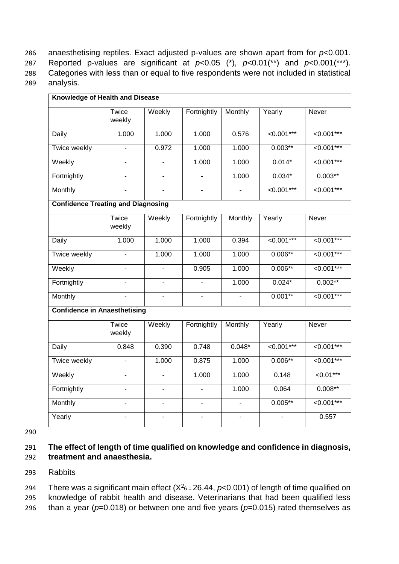anaesthetising reptiles. Exact adjusted p-values are shown apart from for *p*<0.001. 287 Reported p-values are significant at  $p<0.05$  (\*),  $p<0.01$ (\*\*) and  $p<0.001$ (\*\*\*). Categories with less than or equal to five respondents were not included in statistical analysis.

| Knowledge of Health and Disease           |                          |                          |                          |                |                       |                       |
|-------------------------------------------|--------------------------|--------------------------|--------------------------|----------------|-----------------------|-----------------------|
|                                           | Twice<br>weekly          | Weekly                   | Fortnightly              | Monthly        | Yearly                | Never                 |
| <b>Daily</b>                              | 1.000                    | 1.000                    | 1.000                    | 0.576          | $<0.001***$           | $\sqrt{0.001***}$     |
| Twice weekly                              | $\blacksquare$           | 0.972                    | 1.000                    | 1.000          | $0.003**$             | $\sqrt{0.001***}$     |
| Weekly                                    | $\blacksquare$           |                          | 1.000                    | 1.000          | $0.014*$              | $< 0.001***$          |
| Fortnightly                               | $\overline{\phantom{a}}$ | $\blacksquare$           | L.                       | 1.000          | $0.034*$              | $0.003**$             |
| Monthly                                   | $\overline{a}$           | L.                       | $\overline{a}$           | $\blacksquare$ | $\overline{0.001***}$ | $\overline{0.001***}$ |
| <b>Confidence Treating and Diagnosing</b> |                          |                          |                          |                |                       |                       |
|                                           | Twice<br>weekly          | Weekly                   | Fortnightly              | Monthly        | Yearly                | Never                 |
| Daily                                     | 1.000                    | 1.000                    | 1.000                    | 0.394          | $< 0.001***$          | $< 0.001***$          |
| <b>Twice weekly</b>                       | $\blacksquare$           | 1.000                    | 1.000                    | 1.000          | $0.006**$             | $\overline{0.001***}$ |
| Weekly                                    | $\overline{\phantom{a}}$ |                          | 0.905                    | 1.000          | $0.006**$             | $\overline{0.001***}$ |
| Fortnightly                               | $\blacksquare$           | $\overline{a}$           |                          | 1.000          | $0.024*$              | $0.002**$             |
| Monthly                                   | $\mathbf{r}$             | $\blacksquare$           | $\blacksquare$           | $\mathbf{r}$   | $0.001**$             | $\overline{0.001***}$ |
| <b>Confidence in Anaesthetising</b>       |                          |                          |                          |                |                       |                       |
|                                           | Twice<br>weekly          | Weekly                   | Fortnightly              | Monthly        | Yearly                | Never                 |
| <b>Daily</b>                              | 0.848                    | 0.390                    | 0.748                    | $0.048*$       | $< 0.001***$          | $< 0.001***$          |
| Twice weekly                              | $\mathbf{r}$             | 1.000                    | 0.875                    | 1.000          | $0.006**$             | $\sqrt{0.001***}$     |
| Weekly                                    | $\overline{\phantom{a}}$ |                          | 1.000                    | 1.000          | 0.148                 | $50.01***$            |
| Fortnightly                               | $\blacksquare$           | $\overline{\phantom{a}}$ | $\overline{\phantom{0}}$ | 1.000          | 0.064                 | $0.008**$             |
| Monthly                                   | $\blacksquare$           | $\overline{\phantom{a}}$ | $\blacksquare$           | $\blacksquare$ | $0.005**$             | $\overline{0.001***}$ |
| Yearly                                    | $\overline{a}$           |                          |                          |                |                       | 0.557                 |

290

#### 291 **The effect of length of time qualified on knowledge and confidence in diagnosis,**  292 **treatment and anaesthesia.**

### 293 Rabbits

294 There was a significant main effect  $(X<sup>2</sup>6 = 26.44, p<0.001)$  of length of time qualified on 295 knowledge of rabbit health and disease. Veterinarians that had been qualified less

296 than a year ( $p=0.018$ ) or between one and five years ( $p=0.015$ ) rated themselves as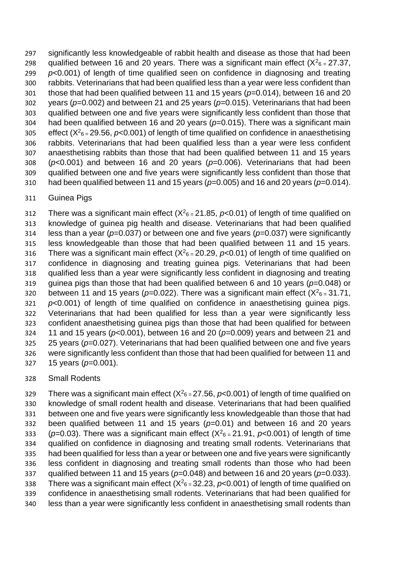significantly less knowledgeable of rabbit health and disease as those that had been 298 qualified between 16 and 20 years. There was a significant main effect  $(X^2_{6} = 27.37,$  *p*<0.001) of length of time qualified seen on confidence in diagnosing and treating rabbits. Veterinarians that had been qualified less than a year were less confident than those that had been qualified between 11 and 15 years (*p*=0.014), between 16 and 20 years (*p*=0.002) and between 21 and 25 years (*p*=0.015). Veterinarians that had been qualified between one and five years were significantly less confident than those that had been qualified between 16 and 20 years (*p*=0.015). There was a significant main 305 effect  $(X_{6}^2=29.56, p<0.001)$  of length of time qualified on confidence in anaesthetising rabbits. Veterinarians that had been qualified less than a year were less confident anaesthetising rabbits than those that had been qualified between 11 and 15 years (*p*<0.001) and between 16 and 20 years (*p*=0.006). Veterinarians that had been qualified between one and five years were significantly less confident than those that had been qualified between 11 and 15 years (*p*=0.005) and 16 and 20 years (*p*=0.014).

#### Guinea Pigs

There was a significant main effect  $(X<sup>2</sup>6 = 21.85, p<0.01)$  of length of time qualified on knowledge of guinea pig health and disease. Veterinarians that had been qualified less than a year (*p*=0.037) or between one and five years (*p*=0.037) were significantly less knowledgeable than those that had been qualified between 11 and 15 years. 316 There was a significant main effect  $(X<sup>2</sup>6 = 20.29, p<0.01)$  of length of time qualified on confidence in diagnosing and treating guinea pigs. Veterinarians that had been qualified less than a year were significantly less confident in diagnosing and treating guinea pigs than those that had been qualified between 6 and 10 years (*p*=0.048) or 320 between 11 and 15 years ( $p=0.022$ ). There was a significant main effect ( $X^2$ <sub>6</sub> = 31.71, *p*<0.001) of length of time qualified on confidence in anaesthetising guinea pigs. Veterinarians that had been qualified for less than a year were significantly less confident anaesthetising guinea pigs than those that had been qualified for between 11 and 15 years (*p*<0.001), between 16 and 20 (*p*=0.009) years and between 21 and 25 years (*p*=0.027). Veterinarians that had been qualified between one and five years were significantly less confident than those that had been qualified for between 11 and 15 years (*p*=0.001).

### Small Rodents

329 There was a significant main effect  $(X<sup>2</sup>6 = 27.56, p<0.001)$  of length of time qualified on knowledge of small rodent health and disease. Veterinarians that had been qualified between one and five years were significantly less knowledgeable than those that had been qualified between 11 and 15 years (*p*=0.01) and between 16 and 20 years  $(p=0.03)$ . There was a significant main effect  $(X<sup>2</sup>6 = 21.91, p<0.001)$  of length of time qualified on confidence in diagnosing and treating small rodents. Veterinarians that had been qualified for less than a year or between one and five years were significantly less confident in diagnosing and treating small rodents than those who had been qualified between 11 and 15 years (*p*=0.048) and between 16 and 20 years (*p*=0.033). 338 There was a significant main effect  $(X<sup>2</sup>6 = 32.23, p<0.001)$  of length of time qualified on confidence in anaesthetising small rodents. Veterinarians that had been qualified for less than a year were significantly less confident in anaesthetising small rodents than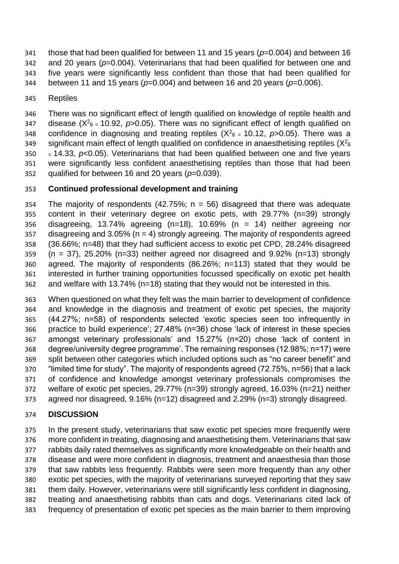- those that had been qualified for between 11 and 15 years (*p*=0.004) and between 16 and 20 years (*p*=0.004). Veterinarians that had been qualified for between one and
- five years were significantly less confident than those that had been qualified for
- between 11 and 15 years (*p*=0.004) and between 16 and 20 years (*p*=0.006).
- Reptiles

 There was no significant effect of length qualified on knowledge of reptile health and 347 disease  $(X^2_{6} = 10.92, p > 0.05)$ . There was no significant effect of length qualified on confidence in diagnosing and treating reptiles  $(X^2_{6} = 10.12, p > 0.05)$ . There was a significant main effect of length qualified on confidence in anaesthetising reptiles  $(X<sup>2</sup>6$  $350 = 14.33$ ,  $p < 0.05$ ). Veterinarians that had been qualified between one and five years were significantly less confident anaesthetising reptiles than those that had been qualified for between 16 and 20 years (*p*=0.039).

## **Continued professional development and training**

354 The majority of respondents (42.75%;  $n = 56$ ) disagreed that there was adequate content in their veterinary degree on exotic pets, with 29.77% (n=39) strongly disagreeing, 13.74% agreeing (n=18), 10.69% (n = 14) neither agreeing nor 357 disagreeing and 3.05% ( $n = 4$ ) strongly agreeing. The majority of respondents agreed (36.66%; n=48) that they had sufficient access to exotic pet CPD, 28.24% disagreed (n = 37), 25.20% (n=33) neither agreed nor disagreed and 9.92% (n=13) strongly agreed. The majority of respondents (86.26%; n=113) stated that they would be interested in further training opportunities focussed specifically on exotic pet health and welfare with 13.74% (n=18) stating that they would not be interested in this.

 When questioned on what they felt was the main barrier to development of confidence and knowledge in the diagnosis and treatment of exotic pet species, the majority (44.27%; n=58) of respondents selected 'exotic species seen too infrequently in practice to build experience'; 27.48% (n=36) chose 'lack of interest in these species amongst veterinary professionals' and 15.27% (n=20) chose 'lack of content in degree/university degree programme'. The remaining responses (12.98%; n=17) were split between other categories which included options such as "no career benefit" and "limited time for study". The majority of respondents agreed (72.75%, n=56) that a lack of confidence and knowledge amongst veterinary professionals compromises the welfare of exotic pet species, 29.77% (n=39) strongly agreed, 16.03% (n=21) neither agreed nor disagreed, 9.16% (n=12) disagreed and 2.29% (n=3) strongly disagreed.

# **DISCUSSION**

 In the present study, veterinarians that saw exotic pet species more frequently were more confident in treating, diagnosing and anaesthetising them. Veterinarians that saw rabbits daily rated themselves as significantly more knowledgeable on their health and disease and were more confident in diagnosis, treatment and anaesthesia than those that saw rabbits less frequently. Rabbits were seen more frequently than any other exotic pet species, with the majority of veterinarians surveyed reporting that they saw them daily. However, veterinarians were still significantly less confident in diagnosing, treating and anaesthetising rabbits than cats and dogs. Veterinarians cited lack of frequency of presentation of exotic pet species as the main barrier to them improving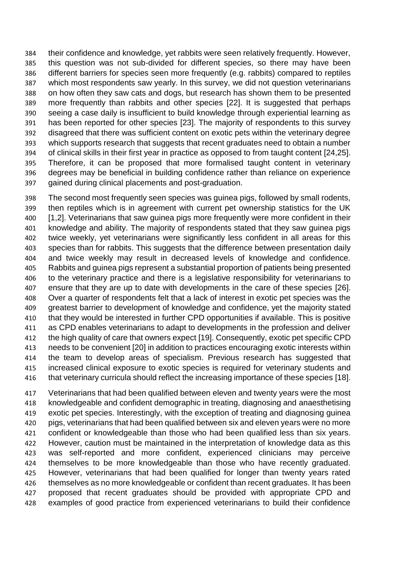their confidence and knowledge, yet rabbits were seen relatively frequently. However, this question was not sub-divided for different species, so there may have been different barriers for species seen more frequently (e.g. rabbits) compared to reptiles which most respondents saw yearly. In this survey, we did not question veterinarians on how often they saw cats and dogs, but research has shown them to be presented more frequently than rabbits and other species [22]. It is suggested that perhaps seeing a case daily is insufficient to build knowledge through experiential learning as has been reported for other species [23]. The majority of respondents to this survey disagreed that there was sufficient content on exotic pets within the veterinary degree which supports research that suggests that recent graduates need to obtain a number of clinical skills in their first year in practice as opposed to from taught content [24,25]. Therefore, it can be proposed that more formalised taught content in veterinary degrees may be beneficial in building confidence rather than reliance on experience gained during clinical placements and post-graduation.

 The second most frequently seen species was guinea pigs, followed by small rodents, then reptiles which is in agreement with current pet ownership statistics for the UK [1,2]. Veterinarians that saw guinea pigs more frequently were more confident in their knowledge and ability. The majority of respondents stated that they saw guinea pigs twice weekly, yet veterinarians were significantly less confident in all areas for this species than for rabbits. This suggests that the difference between presentation daily and twice weekly may result in decreased levels of knowledge and confidence. Rabbits and guinea pigs represent a substantial proportion of patients being presented to the veterinary practice and there is a legislative responsibility for veterinarians to ensure that they are up to date with developments in the care of these species [26]. Over a quarter of respondents felt that a lack of interest in exotic pet species was the greatest barrier to development of knowledge and confidence, yet the majority stated that they would be interested in further CPD opportunities if available. This is positive as CPD enables veterinarians to adapt to developments in the profession and deliver the high quality of care that owners expect [19]. Consequently, exotic pet specific CPD needs to be convenient [20] in addition to practices encouraging exotic interests within the team to develop areas of specialism. Previous research has suggested that increased clinical exposure to exotic species is required for veterinary students and 416 that veterinary curricula should reflect the increasing importance of these species [18].

 Veterinarians that had been qualified between eleven and twenty years were the most knowledgeable and confident demographic in treating, diagnosing and anaesthetising exotic pet species. Interestingly, with the exception of treating and diagnosing guinea pigs, veterinarians that had been qualified between six and eleven years were no more confident or knowledgeable than those who had been qualified less than six years. However, caution must be maintained in the interpretation of knowledge data as this was self-reported and more confident, experienced clinicians may perceive themselves to be more knowledgeable than those who have recently graduated. However, veterinarians that had been qualified for longer than twenty years rated themselves as no more knowledgeable or confident than recent graduates. It has been proposed that recent graduates should be provided with appropriate CPD and examples of good practice from experienced veterinarians to build their confidence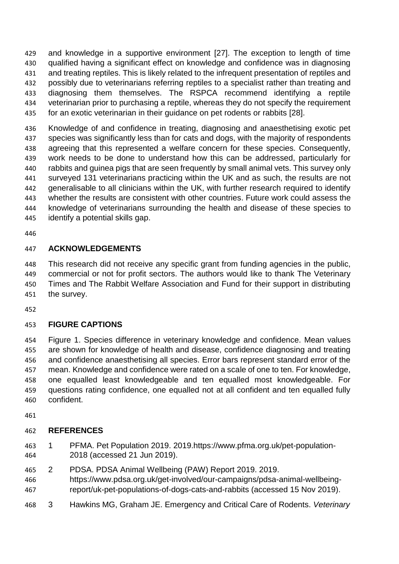and knowledge in a supportive environment [27]. The exception to length of time qualified having a significant effect on knowledge and confidence was in diagnosing and treating reptiles. This is likely related to the infrequent presentation of reptiles and possibly due to veterinarians referring reptiles to a specialist rather than treating and diagnosing them themselves. The RSPCA recommend identifying a reptile veterinarian prior to purchasing a reptile, whereas they do not specify the requirement for an exotic veterinarian in their guidance on pet rodents or rabbits [28].

 Knowledge of and confidence in treating, diagnosing and anaesthetising exotic pet species was significantly less than for cats and dogs, with the majority of respondents agreeing that this represented a welfare concern for these species. Consequently, work needs to be done to understand how this can be addressed, particularly for rabbits and guinea pigs that are seen frequently by small animal vets. This survey only surveyed 131 veterinarians practicing within the UK and as such, the results are not generalisable to all clinicians within the UK, with further research required to identify whether the results are consistent with other countries. Future work could assess the knowledge of veterinarians surrounding the health and disease of these species to identify a potential skills gap.

### **ACKNOWLEDGEMENTS**

 This research did not receive any specific grant from funding agencies in the public, commercial or not for profit sectors. The authors would like to thank The Veterinary Times and The Rabbit Welfare Association and Fund for their support in distributing the survey.

### **FIGURE CAPTIONS**

 Figure 1. Species difference in veterinary knowledge and confidence. Mean values are shown for knowledge of health and disease, confidence diagnosing and treating and confidence anaesthetising all species. Error bars represent standard error of the mean. Knowledge and confidence were rated on a scale of one to ten. For knowledge, one equalled least knowledgeable and ten equalled most knowledgeable. For questions rating confidence, one equalled not at all confident and ten equalled fully confident.

### **REFERENCES**

- 1 PFMA. Pet Population 2019. 2019.https://www.pfma.org.uk/pet-population-2018 (accessed 21 Jun 2019).
- 2 PDSA. PDSA Animal Wellbeing (PAW) Report 2019. 2019.
- https://www.pdsa.org.uk/get-involved/our-campaigns/pdsa-animal-wellbeing-report/uk-pet-populations-of-dogs-cats-and-rabbits (accessed 15 Nov 2019).
- 3 Hawkins MG, Graham JE. Emergency and Critical Care of Rodents. *Veterinary*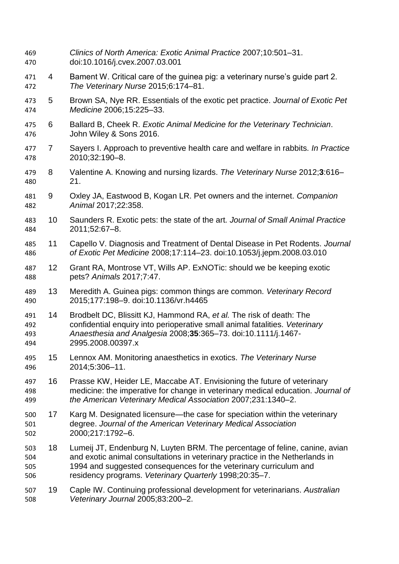| 469<br>470               |                | Clinics of North America: Exotic Animal Practice 2007;10:501-31.<br>doi:10.1016/j.cvex.2007.03.001                                                                                                                                                                                         |
|--------------------------|----------------|--------------------------------------------------------------------------------------------------------------------------------------------------------------------------------------------------------------------------------------------------------------------------------------------|
| 471<br>472               | 4              | Bament W. Critical care of the guinea pig: a veterinary nurse's guide part 2.<br>The Veterinary Nurse 2015;6:174-81.                                                                                                                                                                       |
| 473<br>474               | 5              | Brown SA, Nye RR. Essentials of the exotic pet practice. Journal of Exotic Pet<br>Medicine 2006;15:225-33.                                                                                                                                                                                 |
| 475<br>476               | 6              | Ballard B, Cheek R. Exotic Animal Medicine for the Veterinary Technician.<br>John Wiley & Sons 2016.                                                                                                                                                                                       |
| 477<br>478               | $\overline{7}$ | Sayers I. Approach to preventive health care and welfare in rabbits. In Practice<br>2010;32:190-8.                                                                                                                                                                                         |
| 479<br>480               | 8              | Valentine A. Knowing and nursing lizards. The Veterinary Nurse 2012;3:616-<br>21.                                                                                                                                                                                                          |
| 481<br>482               | 9              | Oxley JA, Eastwood B, Kogan LR. Pet owners and the internet. Companion<br>Animal 2017;22:358.                                                                                                                                                                                              |
| 483<br>484               | 10             | Saunders R. Exotic pets: the state of the art. Journal of Small Animal Practice<br>2011;52:67-8.                                                                                                                                                                                           |
| 485<br>486               | 11             | Capello V. Diagnosis and Treatment of Dental Disease in Pet Rodents. Journal<br>of Exotic Pet Medicine 2008;17:114-23. doi:10.1053/j.jepm.2008.03.010                                                                                                                                      |
| 487<br>488               | 12             | Grant RA, Montrose VT, Wills AP. ExNOTic: should we be keeping exotic<br>pets? Animals 2017;7:47.                                                                                                                                                                                          |
| 489<br>490               | 13             | Meredith A. Guinea pigs: common things are common. Veterinary Record<br>2015;177:198-9. doi:10.1136/vr.h4465                                                                                                                                                                               |
| 491<br>492<br>493<br>494 | 14             | Brodbelt DC, Blissitt KJ, Hammond RA, et al. The risk of death: The<br>confidential enquiry into perioperative small animal fatalities. Veterinary<br>Anaesthesia and Analgesia 2008;35:365-73. doi:10.1111/j.1467-<br>2995.2008.00397.x                                                   |
| 495<br>496               | 15             | Lennox AM. Monitoring anaesthetics in exotics. The Veterinary Nurse<br>2014;5:306-11.                                                                                                                                                                                                      |
| 497<br>498<br>499        | 16             | Prasse KW, Heider LE, Maccabe AT. Envisioning the future of veterinary<br>medicine: the imperative for change in veterinary medical education. Journal of<br>the American Veterinary Medical Association 2007;231:1340-2.                                                                  |
| 500<br>501<br>502        | 17             | Karg M. Designated licensure—the case for speciation within the veterinary<br>degree. Journal of the American Veterinary Medical Association<br>2000;217:1792-6.                                                                                                                           |
| 503<br>504<br>505<br>506 | 18             | Lumeij JT, Endenburg N, Luyten BRM. The percentage of feline, canine, avian<br>and exotic animal consultations in veterinary practice in the Netherlands in<br>1994 and suggested consequences for the veterinary curriculum and<br>residency programs. Veterinary Quarterly 1998;20:35-7. |
| 507<br>508               | 19             | Caple IW. Continuing professional development for veterinarians. Australian<br>Veterinary Journal 2005;83:200-2.                                                                                                                                                                           |